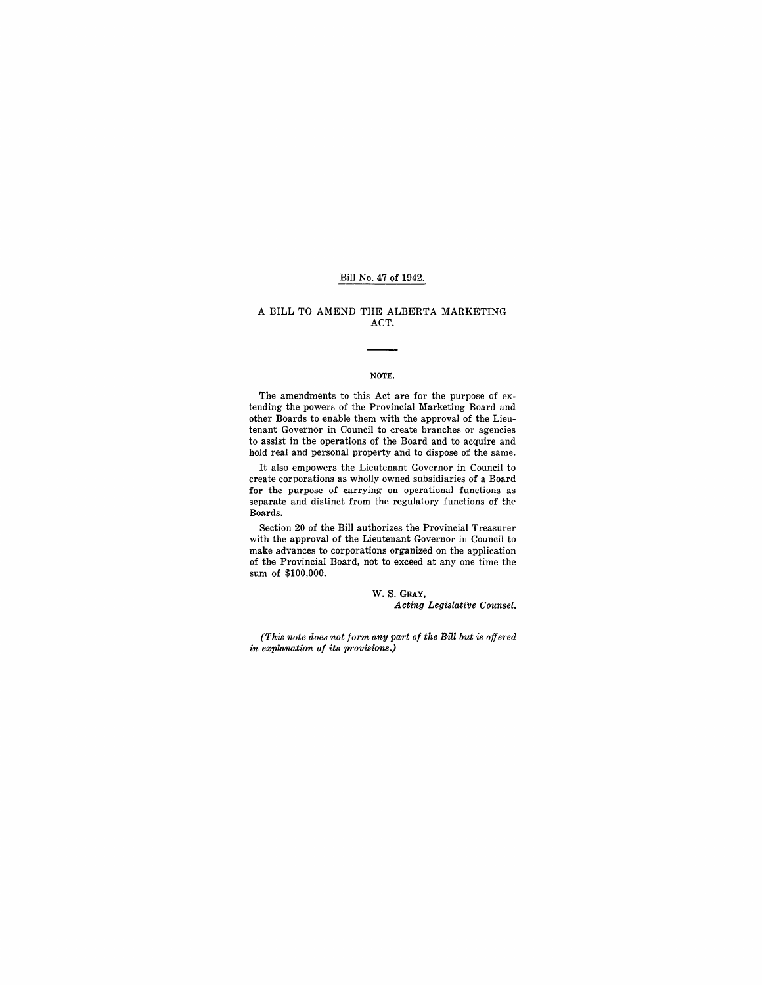## Bill No. 47 of 1942.

## A BILL TO AMEND THE ALBERTA MARKETING ACT.

#### NOTE.

The amendments to this Act are for the purpose of extending the powers of the Provincial Marketing Board and other Boards to enable them with the approval of the Lieutenant Governor in Council to create branches or agencies to assist in the operations of the Board and to acquire and hold real and personal property and to dispose of the same.

It also empowers the Lieutenant Governor in Council to create corporations as wholly owned subsidiaries of a Board for the purpose of carrying on operational functions as separate and distinct from the regulatory functions of the Boards.

Section 20 of the Bill authorizes the Provincial Treasurer with the approval of the Lieutenant Governor in Council to make advances to corporations organized on the application of the Provincial Board, not to exceed at anyone time the sum of \$100,000.

> W. S. GRAY, *Acting Legislative Counsel.*

*(This note does not form any part of the Bill but is offered in explanation of its provisions.)*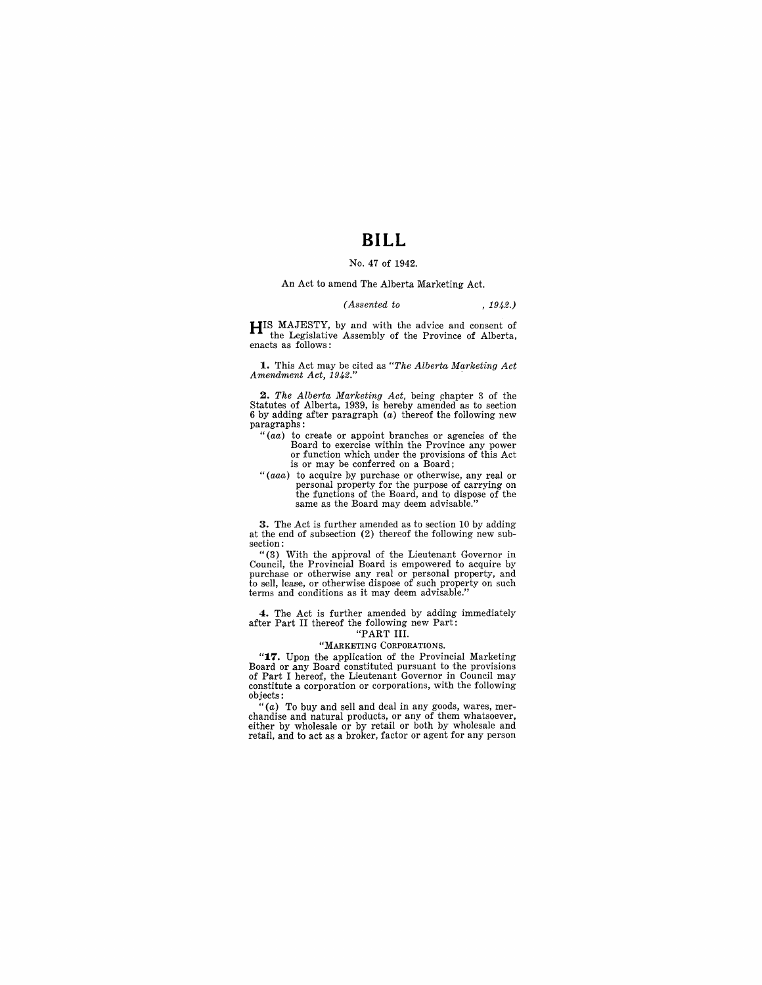## **BILL**

## No. 47 of 1942.

## An Act to amend The Alberta Marketing Act.

#### *(Assented to* , 1942.)

**HIS** MAJESTY, by and with the advice and consent of the Legislative Assembly of the Province of Alberta, enacts as follows:

**1.** This Act may be cited as *"The Alberta Marketing Act Amendment Act,* 1942." .

**2.** *The Alberta Marketing Act*, being chapter 3 of the Statutes of Alberta, 1939, is hereby amended as to section 6 by adding after paragraph  $(a)$  thereof the following new paragraphs:

- *"(aa)* to create or appoint branches or agencies of the Board to exercise within the Province any power or function which under the provisions of this Act is or may be conferred on a Board;
- "(aaa) to acquire by purchase or otherwise, any real or personal property for the purpose of carrying on the functions of the Board, and to dispose of the same as the Board may deem advisable."

**3.** The Act is further amended as to section 10 by adding at the end of subsection (2) thereof the following new subsection:

"(3) With the approval of the Lieutenant Governor in Council, the Provincial Board is empowered to acquire by purchase or otherwise any real or personal property, and to sell, lease, or otherwise dispose of such property on such terms and conditions as it may deem advisable."

**4.** The Act is further amended by adding immediately after Part II thereof the following new Part:

### "PART III.

### "MARKETING CORPORATIONS.

**"17.** Upon the application of the Provincial Marketing Board or any Board constituted pursuant to the provisions of Part I hereof, the Lieutenant Governor in Council may constitute a corporation or corporations, with the following objects:

"(a) To buy and sell and deal in any goods, wares, mer- chandise and natural products, or any of them whatsoever, either by wholesale or by retail or both by wholesale and retail, and to act as a broker, factor or agent for any person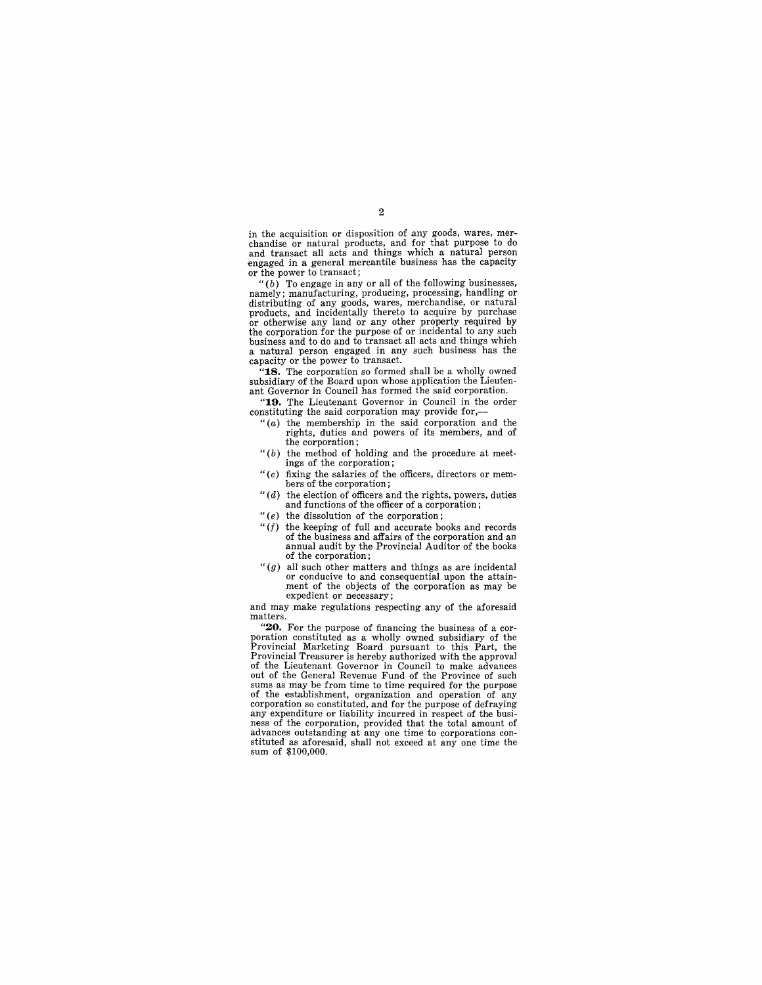in the acquisition or disposition of any goods, wares, mer- chandise or natural products, and for that purpose to do and transact all acts and things which a natural person engaged in a general mercantile business has the capacity or the power to transact;

 $(6)$  To engage in any or all of the following businesses, namely; manufacturing, producing, processing, handling or namely; manufacturing, producing, productions, handling of any goods, wares, merchandise, or natural products, and incidentally thereto to acquire by purchase products, and incidentally thereto to acquire by purchase or otherwise any land or any other property required by the corporation for the purpose of or incidental to any such business and to do and to transact all acts and things which a natural person engaged in any such business has the capacity or the power to transact.

**"18.** The corporation so formed shall be a wholly owned subsidiary of the Board upon whose application the Lieutenant Governor in Council has formed the said corporation.

**"19.** The Lieutenant Governor in Council in the order constituting the said corporation may provide for,-

- " $(a)$  the membership in the said corporation and the rights, duties and powers of its members, and of the corporation;
- $"$ (b) the method of holding and the procedure at meetings of the corporation;
- " $(c)$  fixing the salaries of the officers, directors or members of the corporation;
- *"(d)* the election of officers and the rights, powers, duties and functions of the officer of a corporation;
- " $(e)$  the dissolution of the corporation;
- " $(f)$  the keeping of full and accurate books and records of the business and affairs of the corporation and an annual audit by the Provincial Auditor of the books of the corporation;
- " $(g)$  all such other matters and things as are incidental or conducive to and consequential upon the attainment of the objects of the corporation as may be expedient or necessary;

and may make regulations respecting any of the aforesaid

matters.<br>"20. For the purpose of financing the business of a corporation constituted as a wholly owned subsidiary of the Provincial Marketing Board pursuant to this Part, the Provincial Treasurer is hereby authorized with the approval of the Lieutenant Governor in Council to make advances out of the General Revenue Fund of the Province of such sums as may be from time to time required for the purpose of the establishment, organization and operation of any corporation so constituted, and for the purpose of d any expenditure or liability incurred in respect of the busi- ness of the corporation, provided that the total amount of advances outstanding at any one time to corporations con-<br>stituted as aforesaid, shall not exceed at any one time the<br>sum of \$100,000.

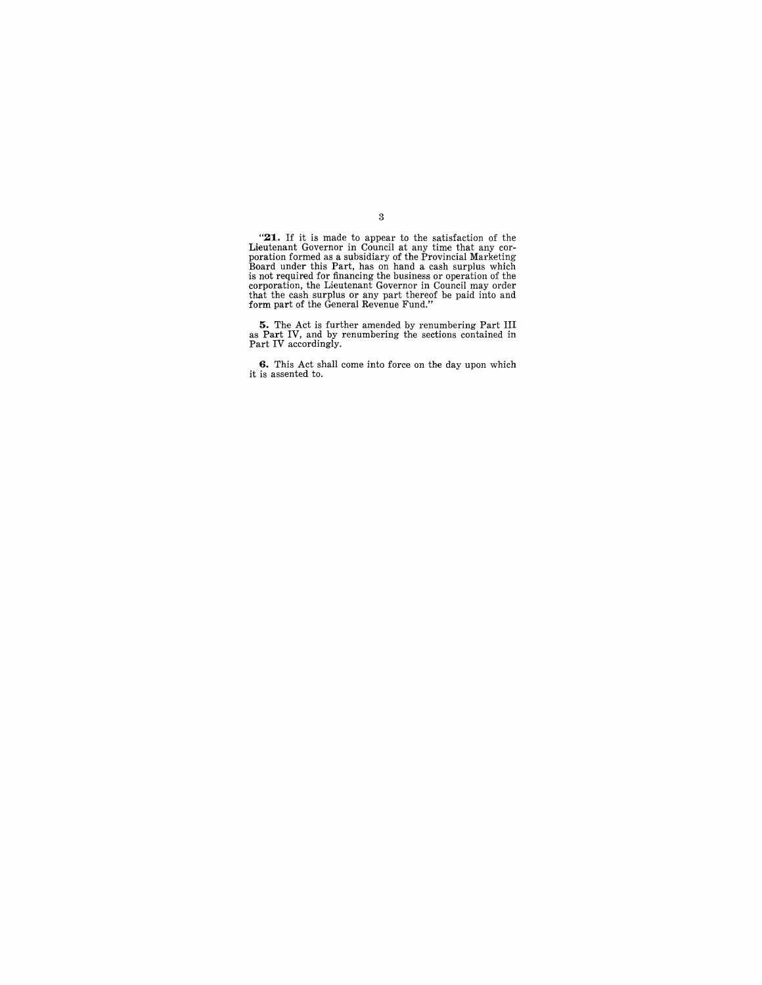**"21.** If it is made to appear to the satisfaction of the Lieutenant Governor in Council at any time that any cor-<br>poration formed as a subsidiary of the Provincial Marketing<br>Board under this Part, has on hand a cash surplus which<br>is not required for financing the business or ope

**5.** The Act is further amended by renumbering Part III as Part IV, and by renumbering the sections contained in Part IV accordingly.

**6.** This Act shall come into force on the day upon which it is assented to.

3